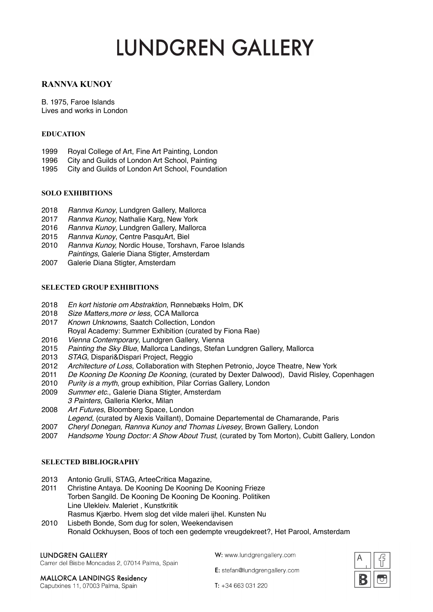# **LUNDGREN GALLERY**

## **RANNVA KUNOY**

B. 1975, Faroe Islands Lives and works in London

#### **EDUCATION**

- 1999 Royal College of Art, Fine Art Painting, London
- 1996 City and Guilds of London Art School, Painting
- 1995 City and Guilds of London Art School, Foundation

#### **SOLO EXHIBITIONS**

- 2018 *Rannva Kunoy*, Lundgren Gallery, Mallorca
- 2017 *Rannva Kunoy,* Nathalie Karg, New York
- 2016 *Rannva Kunoy*, Lundgren Gallery, Mallorca
- 2015 *Rannva Kunoy*, Centre PasquArt, Biel
- 2010 *Rannva Kunoy,* Nordic House, Torshavn, Faroe Islands *Paintings,* Galerie Diana Stigter, Amsterdam
- 2007 Galerie Diana Stigter, Amsterdam

#### **SELECTED GROUP EXHIBITIONS**

- 2018 *En kort historie om Abstraktion*, Rønnebæks Holm, DK
- 2018 *Size Matters,more or less,* CCA Mallorca
- 2017 *Known Unknowns,* Saatch Collection, London
- Royal Academy: Summer Exhibition (curated by Fiona Rae)
- 2016 *Vienna Contemporary*, Lundgren Gallery, Vienna
- 2015 *Painting the Sky Blue*, Mallorca Landings, Stefan Lundgren Gallery, Mallorca
- 2013 *STAG*, Dispari&Dispari Project, Reggio
- 2012 *Architecture of Loss*, Collaboration with Stephen Petronio, Joyce Theatre, New York
- 2011 *De Kooning De Kooning De Kooning*, (curated by Dexter Dalwood), David Risley, Copenhagen
- 2010 *Purity is a myth*, group exhibition, Pilar Corrias Gallery, London
- 2009 *Summer etc.*, Galerie Diana Stigter, Amsterdam
- *3 Painters*, Galleria Klerkx, Milan
- 2008 *Art Futures*, Bloomberg Space, London
- *Legend*, (curated by Alexis Vaillant), Domaine Departemental de Chamarande, Paris
- 2007 *Cheryl Donegan, Rannva Kunoy and Thomas Livesey*, Brown Gallery, London
- 2007 *Handsome Young Doctor: A Show About Trust*, (curated by Tom Morton), Cubitt Gallery, London

#### **SELECTED BIBLIOGRAPHY**

- 2013 Antonio Grulli, STAG, ArteeCritica Magazine,
- 2011 Christine Antaya. De Kooning De Kooning De Kooning Frieze Torben Sangild. De Kooning De Kooning De Kooning. Politiken Line Ulekleiv. Maleriet , Kunstkritik Rasmus Kjærbo. Hvem slog det vilde maleri ijhel. Kunsten Nu
- 2010 Lisbeth Bonde, Som dug for solen, Weekendavisen Ronald Ockhuysen, Boos of toch een gedempte vreugdekreet?, Het Parool, Amsterdam

#### **LUNDGREN GALLERY**

Carrer del Bisbe Moncadas 2, 07014 Palma, Spain

W: www.lundgrengallery.com

E: stefan@lundgrengallery.com



**MALLORCA LANDINGS Residency** Caputxines 11, 07003 Palma, Spain

 $T: +34663031220$